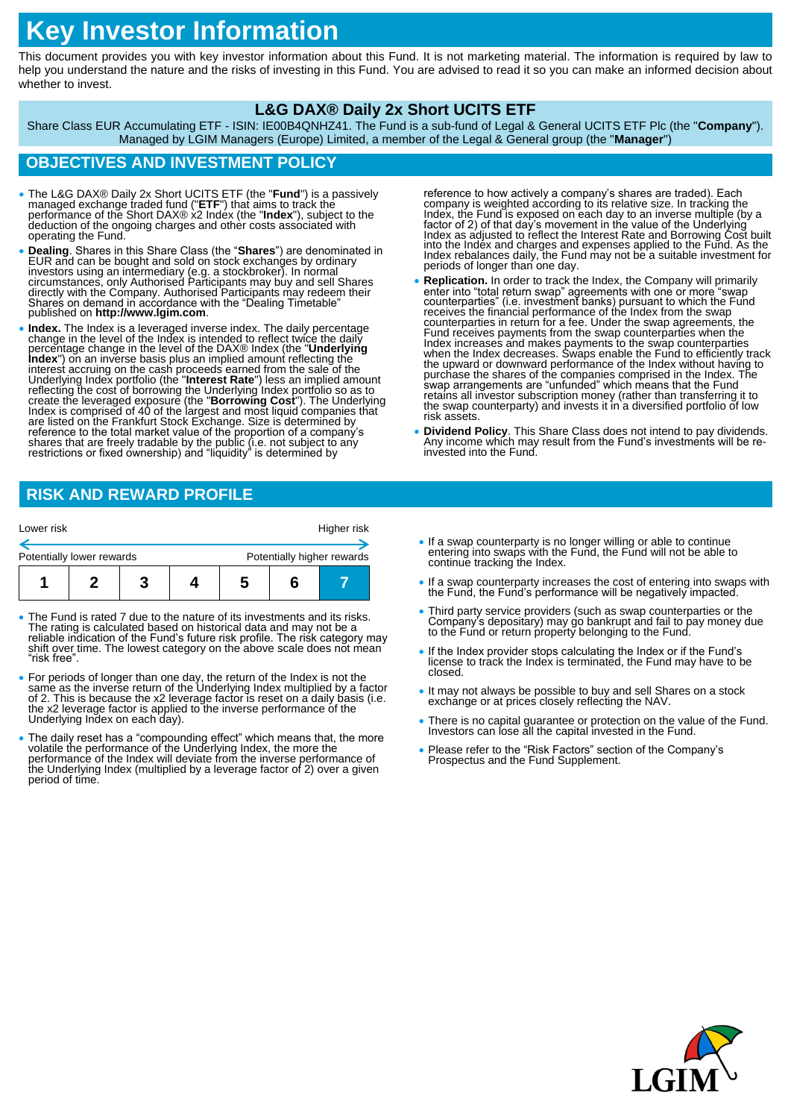# **Key Investor Information**

This document provides you with key investor information about this Fund. It is not marketing material. The information is required by law to help you understand the nature and the risks of investing in this Fund. You are advised to read it so you can make an informed decision about whether to invest.

#### **L&G DAX® Daily 2x Short UCITS ETF**

Share Class EUR Accumulating ETF - ISIN: IE00B4QNHZ41. The Fund is a sub-fund of Legal & General UCITS ETF Plc (the "**Company**"). Managed by LGIM Managers (Europe) Limited, a member of the Legal & General group (the "**Manager**")

## **OBJECTIVES AND INVESTMENT POLICY**

- The L&G DAX® Daily 2x Short UCITS ETF (the "**Fund**") is a passively managed exchange traded fund ("**ETF**") that aims to track the performance of the Short DAX® x2 Index (the "**Index**"), subject to the deduction of the ongoing charges and other costs associated with operating the Fund.
- **Dealing**. Shares in this Share Class (the "**Shares**") are denominated in EUR and can be bought and sold on stock exchanges by ordinary investors using an intermediary (e.g. a stockbroker). In normal<br>circumstances, only Authorised Participants may buy and sell Shares<br>directly with the Company. Authorised Participants may redeem their<br>Shares on demand in ac published on **http://www.lgim.com**.
- Index. The Index is a leveraged inverse index. The daily percentage<br>change in the level of the Index is intended to reflect twice the daily<br>percentage change in the level of the DAX® Index (the "Underlying<br>precentage ch

reference to how actively a company's shares are traded). Each<br>company is weighted according to its relative size. In tracking the<br>Index, the Fund is exposed on each day to an inverse multiple (by a<br>factor of 2) of that da Index as adjusted to reflect the Interest Rate and Borrowing Cost built into the Index and charges and expenses applied to the Fund. As the Index rebalances daily, the Fund may not be a suitable investment for periods of longer than one day.

- **Replication.** In order to track the Index, the Company will primarily enter into "total return swap" agreements with one or more "swap counterparties" (i.e. investment banks) pursuant to which the Fund receives the financial performance of the Index from the swap counterparties in return for a fee. Under the swap agreements, the<br>Fund receives payments from the swap counterparties when the<br>Index increases and makes payments to the swap counterparties<br>when the Index decreases. Swaps the upward or downward performance of the Index without having to purchase the shares of the companies comprised in the Index. The swap arrangements are "unfunded" which means that the Fund retains all investor subscription money (rather than transferring it to the swap counterparty) and invests it in a diversified portfolio of low risk assets.
- **Dividend Policy**. This Share Class does not intend to pay dividends. Any income which may result from the Fund's investments will be reinvested into the Fund.

# **RISK AND REWARD PROFILE**

| Lower risk                |  |  |  |                            | Higher risk |  |
|---------------------------|--|--|--|----------------------------|-------------|--|
| Potentially lower rewards |  |  |  | Potentially higher rewards |             |  |
|                           |  |  |  | э                          |             |  |

- The Fund is rated 7 due to the nature of its investments and its risks. The rating is calculated based on historical data and may not be a reliable indication of the Fund's future risk profile. The risk category may shift over time. The lowest category on the above scale does not mean "risk free".
- For periods of longer than one day, the return of the Index is not the same as the inverse return of the Underlying Index multiplied by a factor of 2. This is because the x2 leverage factor is reset on a daily basis (i.e Underlying Index on each day).
- The daily reset has a "compounding effect" which means that, the more volatile the performance of the Underlying Index, the more the performance of the Index will deviate from the inverse performance of the Underlying In period of time.
- If a swap counterparty is no longer willing or able to continue entering into swaps with the Fund, the Fund will not be able to continue tracking the Index.
- If a swap counterparty increases the cost of entering into swaps with the Fund, the Fund's performance will be negatively impacted.
- Third party service providers (such as swap counterparties or the Company's depositary) may go bankrupt and fail to pay money due to the Fund or return property belonging to the Fund.
- If the Index provider stops calculating the Index or if the Fund's license to track the Index is terminated, the Fund may have to be closed.
- It may not always be possible to buy and sell Shares on a stock exchange or at prices closely reflecting the NAV.
- There is no capital guarantee or protection on the value of the Fund. Investors can lose all the capital invested in the Fund.
- Please refer to the "Risk Factors" section of the Company's Prospectus and the Fund Supplement.